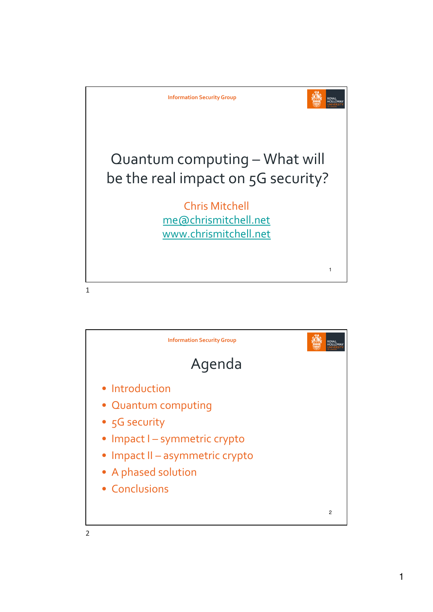

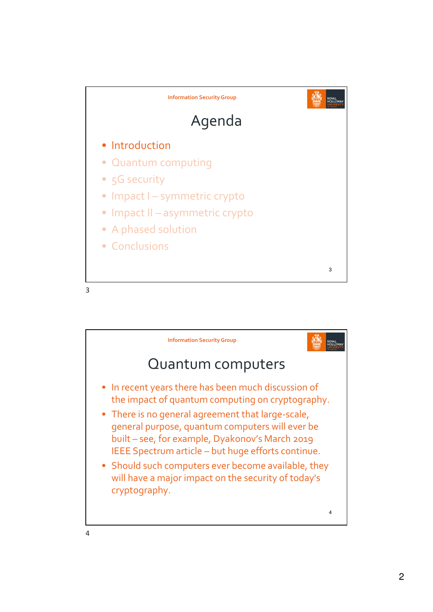

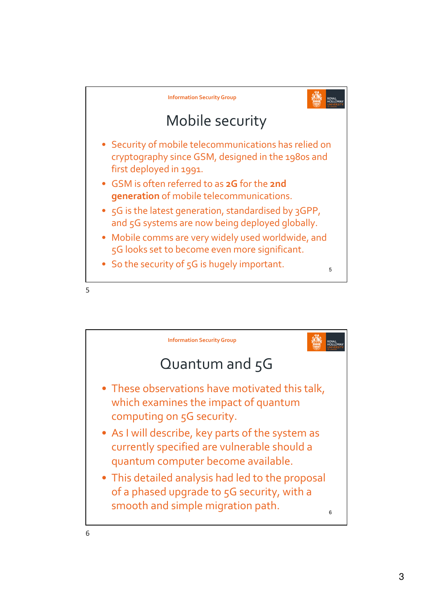

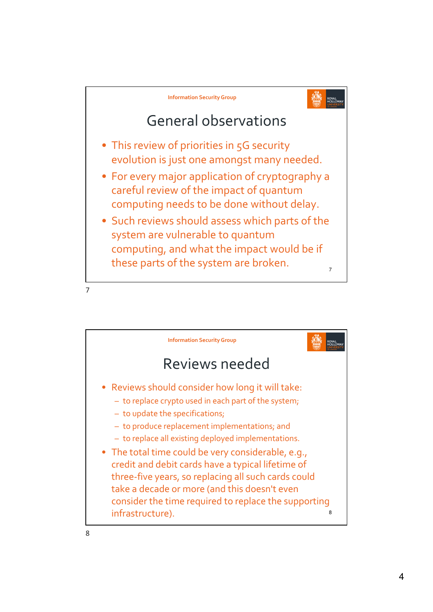

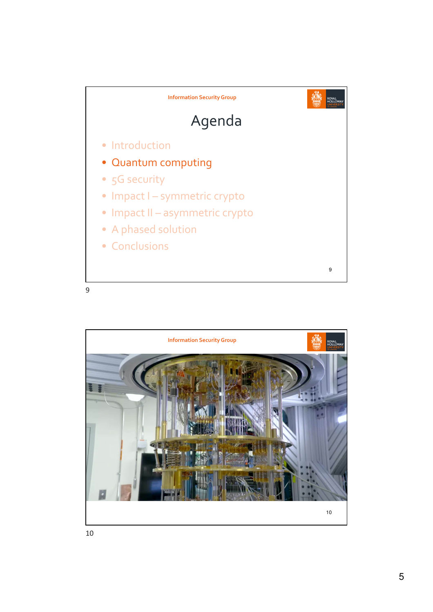

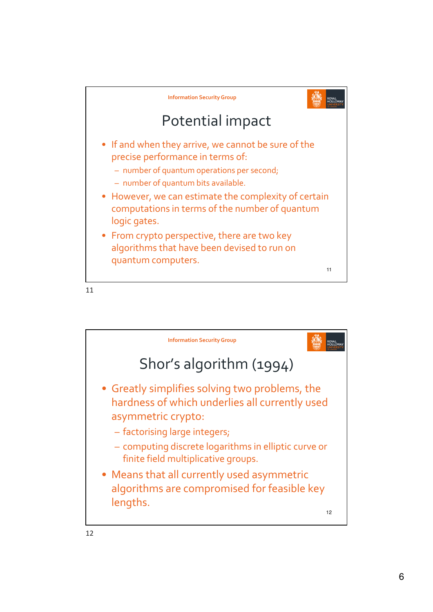

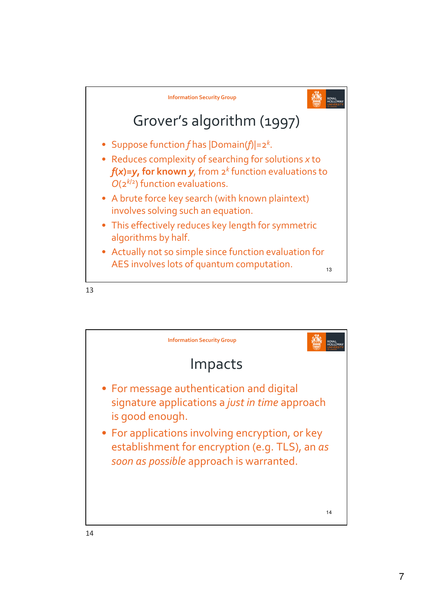

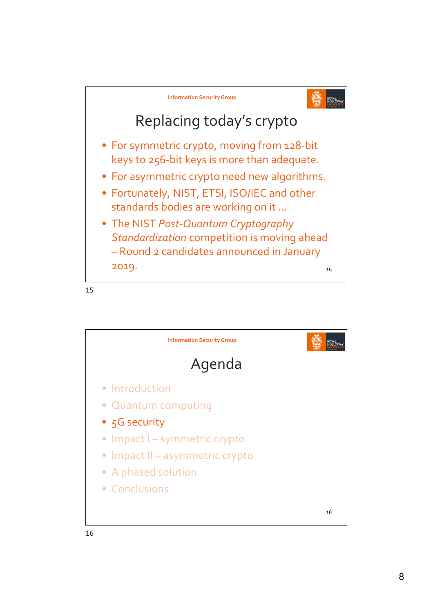

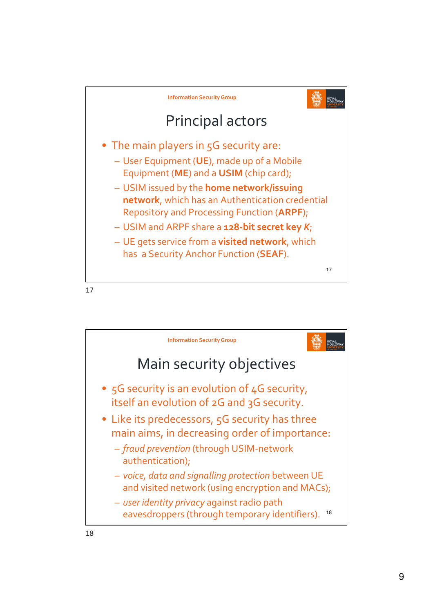

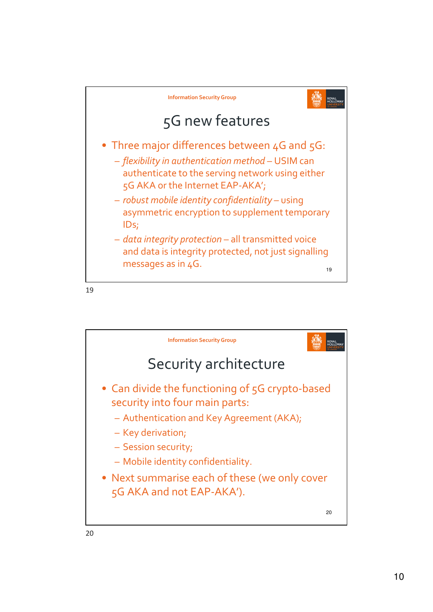

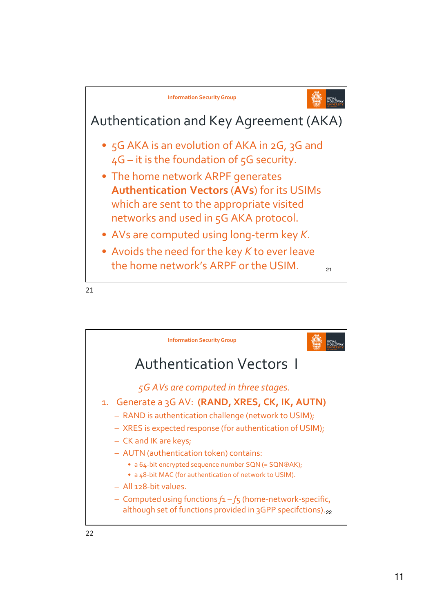

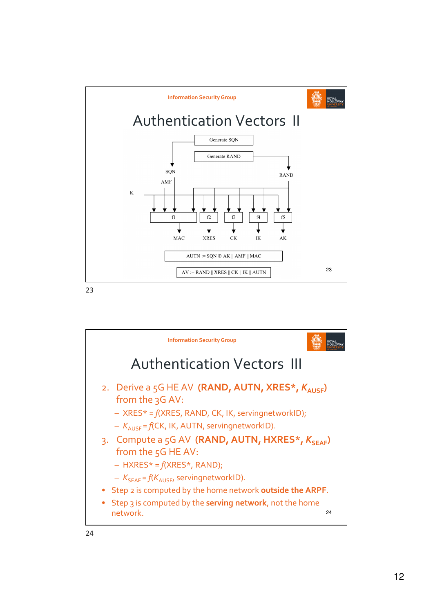

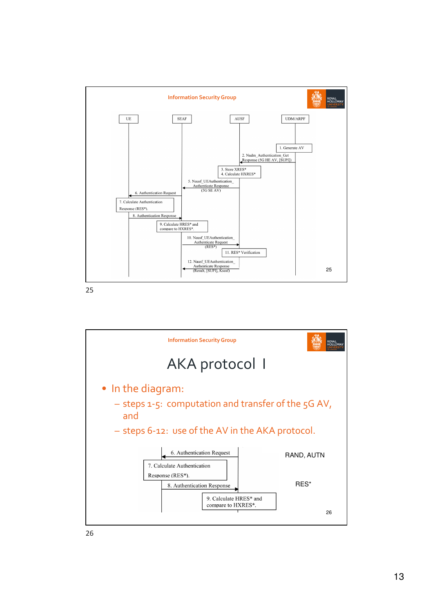

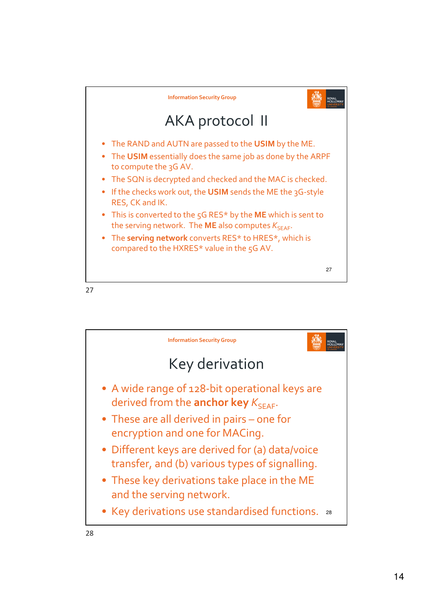

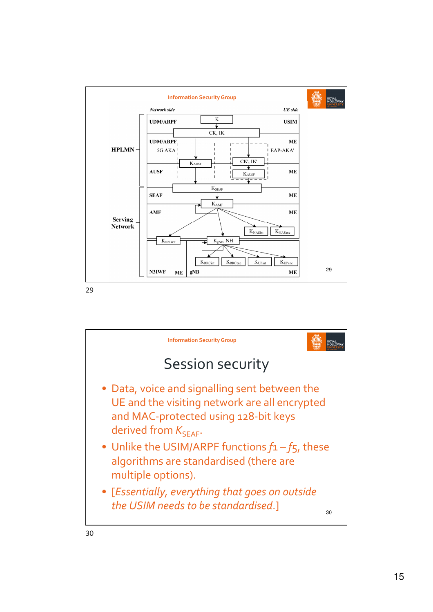

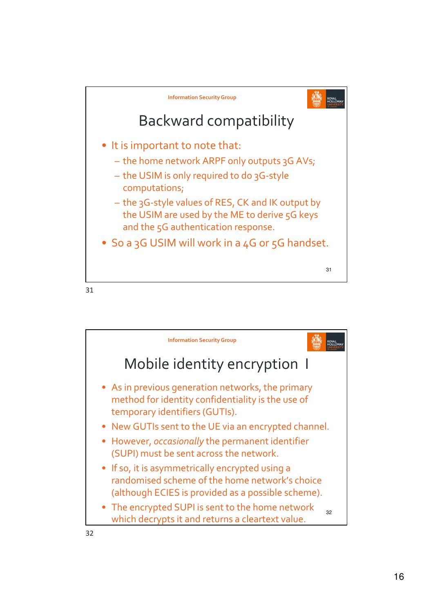

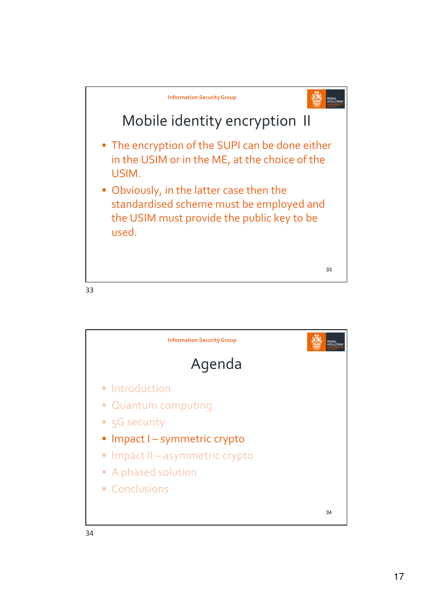

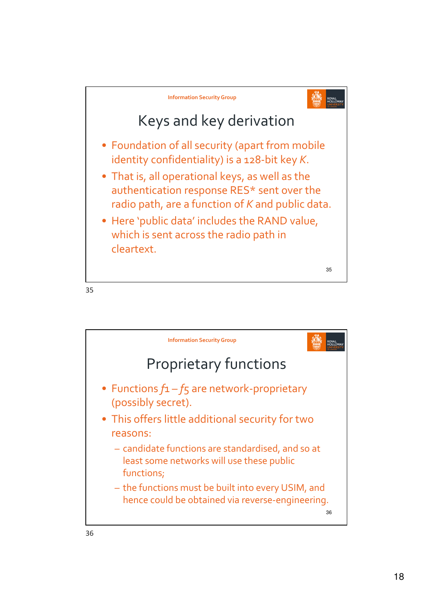

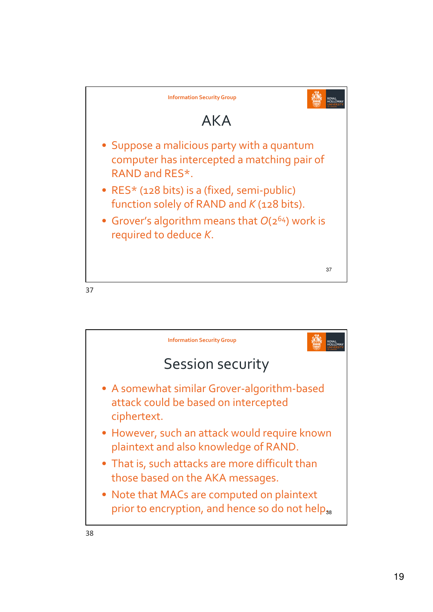

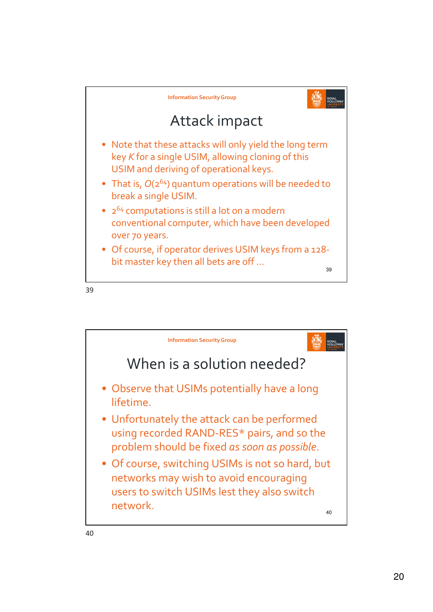

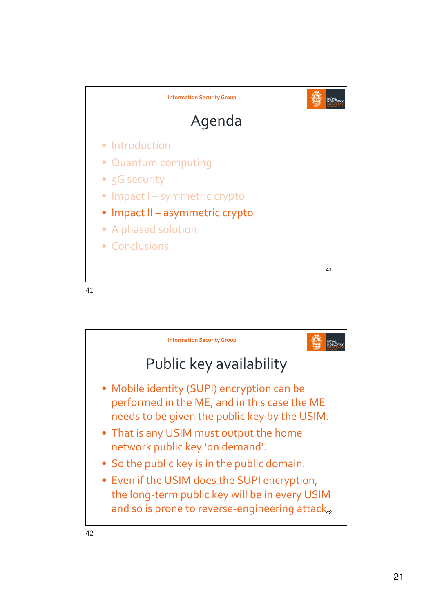

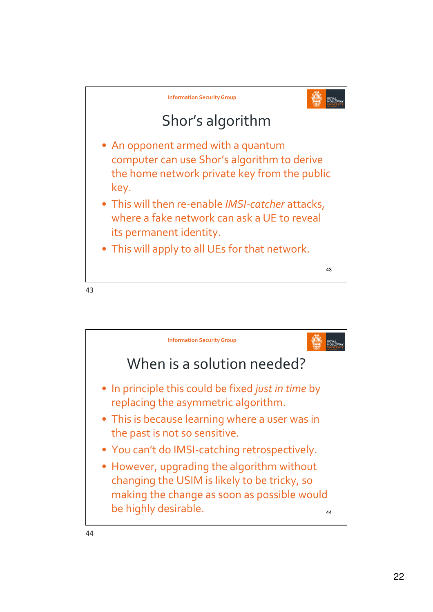

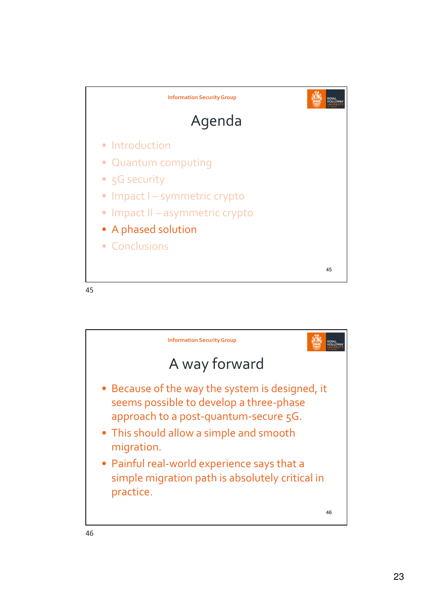

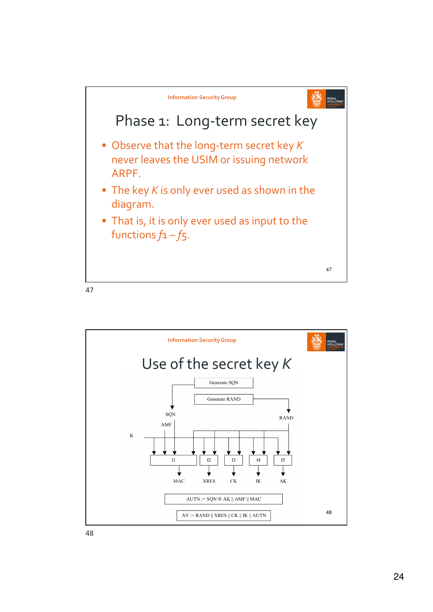

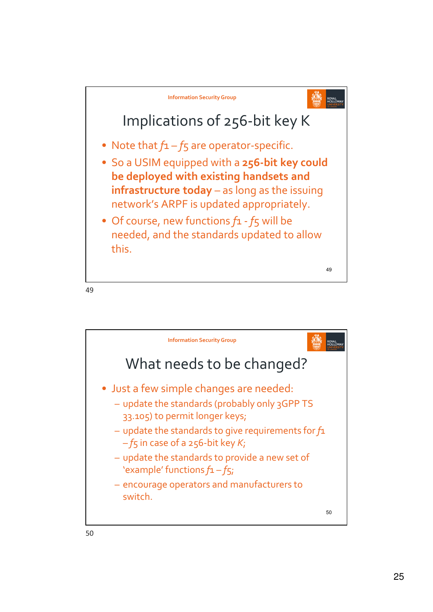

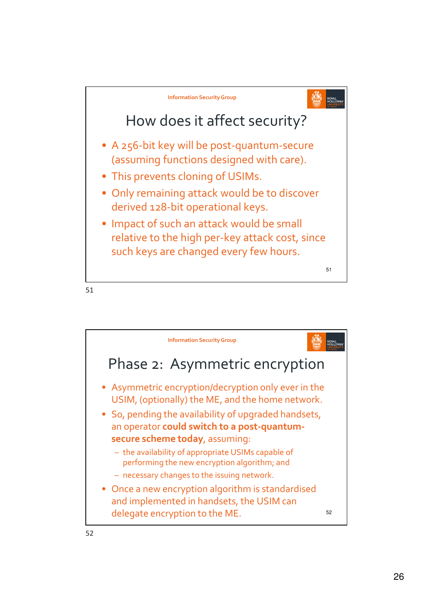

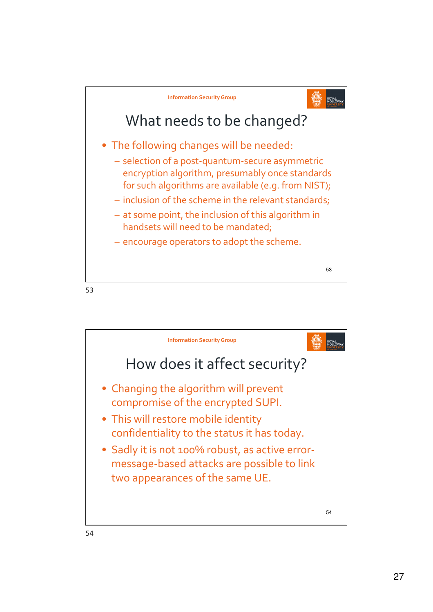



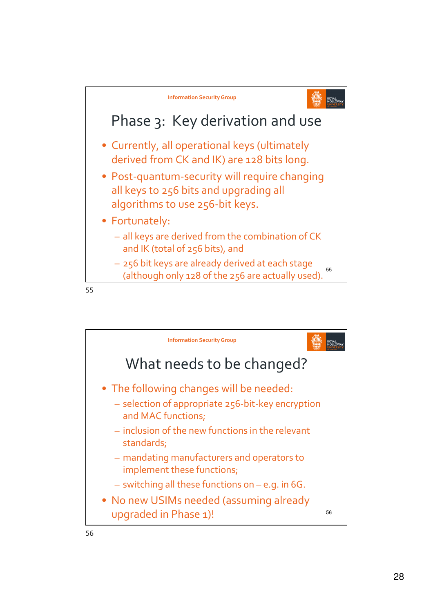

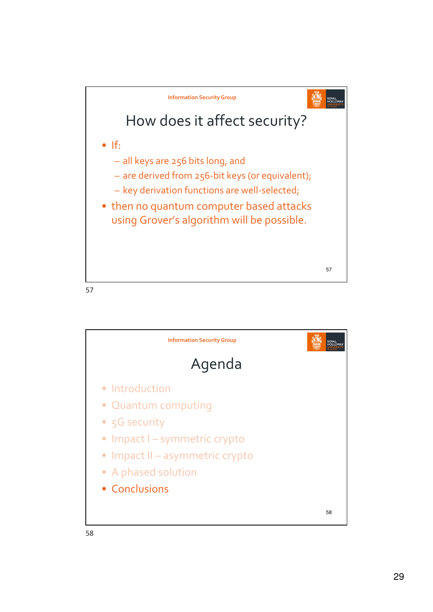



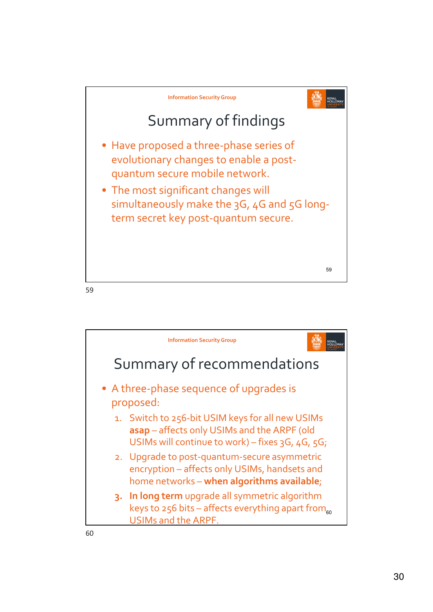

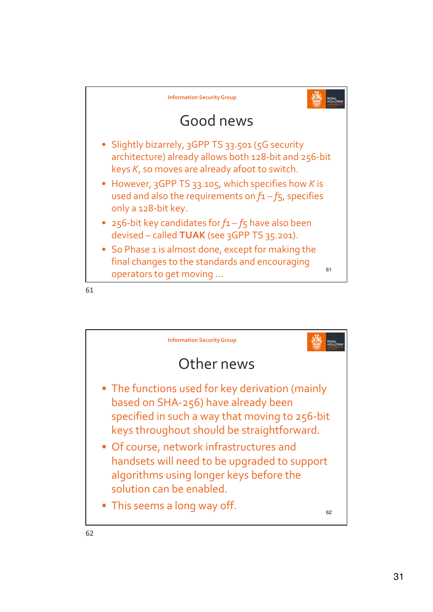